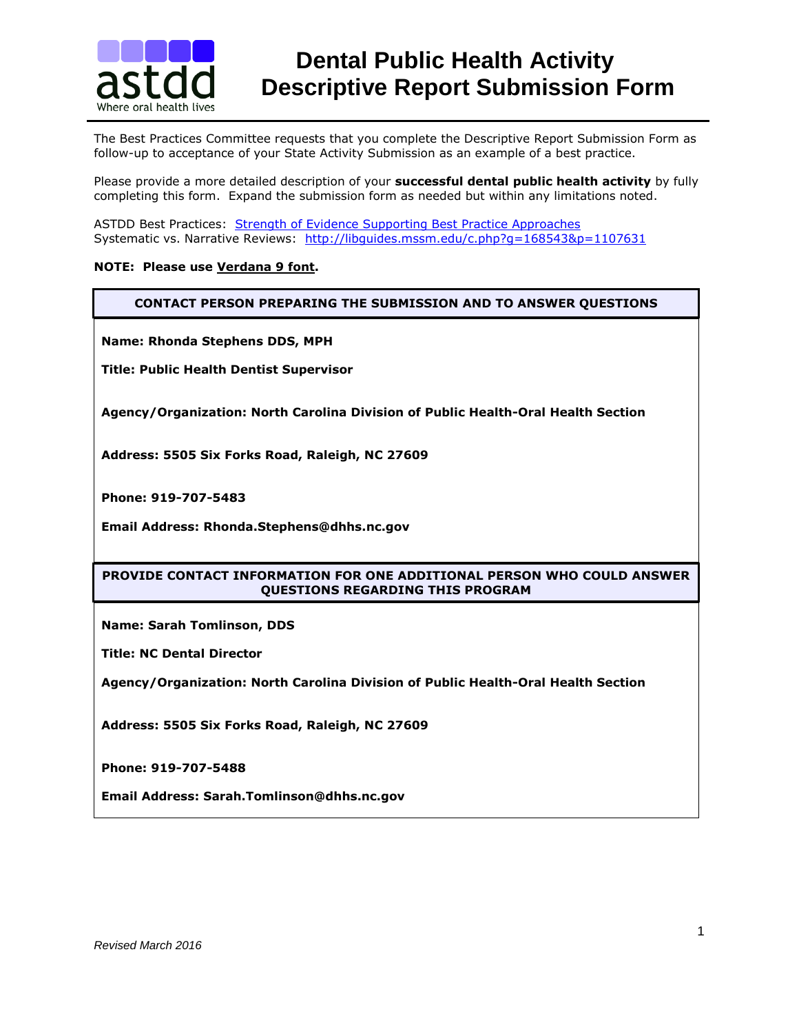

The Best Practices Committee requests that you complete the Descriptive Report Submission Form as follow-up to acceptance of your State Activity Submission as an example of a best practice.

Please provide a more detailed description of your **successful dental public health activity** by fully completing this form. Expand the submission form as needed but within any limitations noted.

ASTDD Best Practices: [Strength of Evidence Supporting Best Practice Approaches](http://www.astdd.org/evidence-supporting-best-practice-approaches/) Systematic vs. Narrative Reviews:<http://libguides.mssm.edu/c.php?g=168543&p=1107631>

### **NOTE: Please use Verdana 9 font.**

**CONTACT PERSON PREPARING THE SUBMISSION AND TO ANSWER QUESTIONS**

**Name: Rhonda Stephens DDS, MPH**

**Title: Public Health Dentist Supervisor**

**Agency/Organization: North Carolina Division of Public Health-Oral Health Section**

**Address: 5505 Six Forks Road, Raleigh, NC 27609**

**Phone: 919-707-5483**

**Email Address: Rhonda.Stephens@dhhs.nc.gov**

### **PROVIDE CONTACT INFORMATION FOR ONE ADDITIONAL PERSON WHO COULD ANSWER QUESTIONS REGARDING THIS PROGRAM**

**Name: Sarah Tomlinson, DDS**

**Title: NC Dental Director** 

**Agency/Organization: North Carolina Division of Public Health-Oral Health Section**

**Address: 5505 Six Forks Road, Raleigh, NC 27609**

**Phone: 919-707-5488**

**Email Address: Sarah.Tomlinson@dhhs.nc.gov**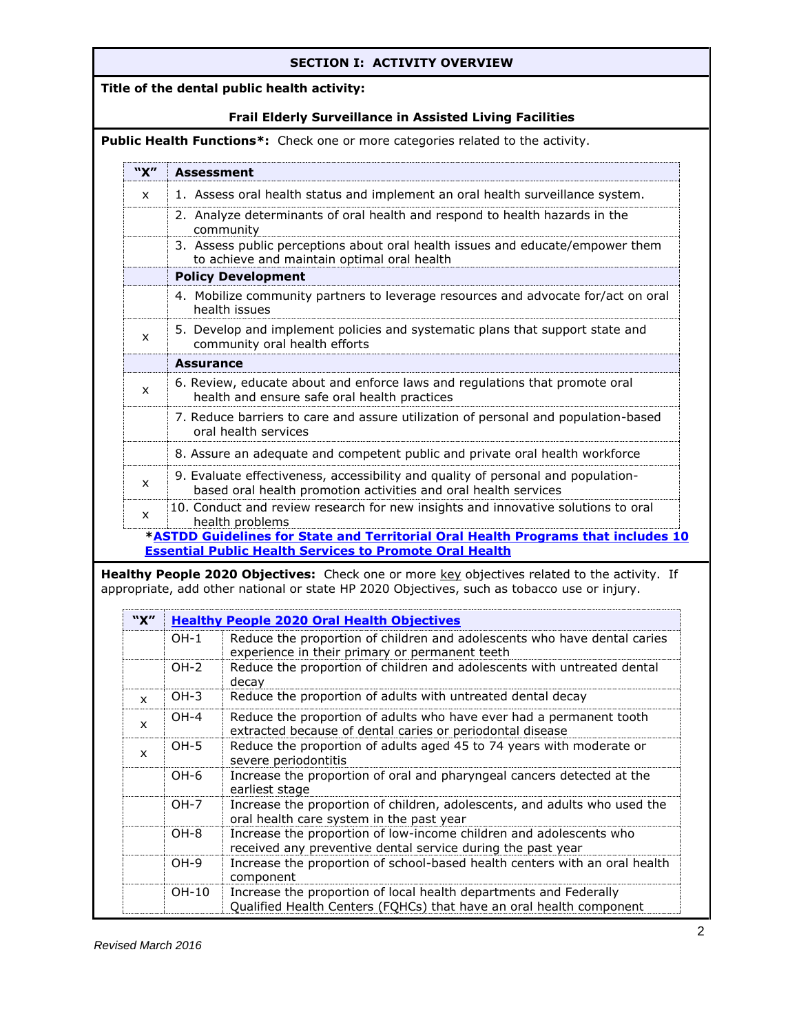# **SECTION I: ACTIVITY OVERVIEW**

# **Title of the dental public health activity:**

# **Frail Elderly Surveillance in Assisted Living Facilities**

**Public Health Functions\*:** Check one or more categories related to the activity.

|              | "X"<br>Assessment                                                                                  |                                                                                                                                                                                                                                                                                                                                                                                        |  |  |  |  |  |
|--------------|----------------------------------------------------------------------------------------------------|----------------------------------------------------------------------------------------------------------------------------------------------------------------------------------------------------------------------------------------------------------------------------------------------------------------------------------------------------------------------------------------|--|--|--|--|--|
| $\mathsf{x}$ |                                                                                                    | 1. Assess oral health status and implement an oral health surveillance system.                                                                                                                                                                                                                                                                                                         |  |  |  |  |  |
|              |                                                                                                    | 2. Analyze determinants of oral health and respond to health hazards in the<br>community                                                                                                                                                                                                                                                                                               |  |  |  |  |  |
|              |                                                                                                    | 3. Assess public perceptions about oral health issues and educate/empower them<br>to achieve and maintain optimal oral health                                                                                                                                                                                                                                                          |  |  |  |  |  |
|              | <b>Policy Development</b>                                                                          |                                                                                                                                                                                                                                                                                                                                                                                        |  |  |  |  |  |
|              | 4. Mobilize community partners to leverage resources and advocate for/act on oral<br>health issues |                                                                                                                                                                                                                                                                                                                                                                                        |  |  |  |  |  |
| X            |                                                                                                    | 5. Develop and implement policies and systematic plans that support state and<br>community oral health efforts                                                                                                                                                                                                                                                                         |  |  |  |  |  |
|              | <b>Assurance</b>                                                                                   |                                                                                                                                                                                                                                                                                                                                                                                        |  |  |  |  |  |
| x            |                                                                                                    | 6. Review, educate about and enforce laws and regulations that promote oral<br>health and ensure safe oral health practices                                                                                                                                                                                                                                                            |  |  |  |  |  |
|              |                                                                                                    | 7. Reduce barriers to care and assure utilization of personal and population-based<br>oral health services                                                                                                                                                                                                                                                                             |  |  |  |  |  |
|              |                                                                                                    | 8. Assure an adequate and competent public and private oral health workforce                                                                                                                                                                                                                                                                                                           |  |  |  |  |  |
| $\mathsf{x}$ |                                                                                                    | 9. Evaluate effectiveness, accessibility and quality of personal and population-<br>based oral health promotion activities and oral health services                                                                                                                                                                                                                                    |  |  |  |  |  |
|              |                                                                                                    |                                                                                                                                                                                                                                                                                                                                                                                        |  |  |  |  |  |
| x            |                                                                                                    | 10. Conduct and review research for new insights and innovative solutions to oral                                                                                                                                                                                                                                                                                                      |  |  |  |  |  |
|              |                                                                                                    | health problems                                                                                                                                                                                                                                                                                                                                                                        |  |  |  |  |  |
|              |                                                                                                    | <b>Essential Public Health Services to Promote Oral Health</b>                                                                                                                                                                                                                                                                                                                         |  |  |  |  |  |
|              |                                                                                                    | appropriate, add other national or state HP 2020 Objectives, such as tobacco use or injury.                                                                                                                                                                                                                                                                                            |  |  |  |  |  |
| "X"          |                                                                                                    | <b>Healthy People 2020 Oral Health Objectives</b>                                                                                                                                                                                                                                                                                                                                      |  |  |  |  |  |
|              | $OH-1$                                                                                             |                                                                                                                                                                                                                                                                                                                                                                                        |  |  |  |  |  |
|              | $OH-2$                                                                                             | experience in their primary or permanent teeth<br>Reduce the proportion of children and adolescents with untreated dental<br>decay                                                                                                                                                                                                                                                     |  |  |  |  |  |
| x            | $OH-3$                                                                                             | Reduce the proportion of adults with untreated dental decay                                                                                                                                                                                                                                                                                                                            |  |  |  |  |  |
| x            | $OH-4$                                                                                             | Reduce the proportion of adults who have ever had a permanent tooth<br>extracted because of dental caries or periodontal disease                                                                                                                                                                                                                                                       |  |  |  |  |  |
| x            | $OH-5$                                                                                             | Reduce the proportion of adults aged 45 to 74 years with moderate or<br>severe periodontitis                                                                                                                                                                                                                                                                                           |  |  |  |  |  |
|              | OH-6                                                                                               | Increase the proportion of oral and pharyngeal cancers detected at the<br>earliest stage                                                                                                                                                                                                                                                                                               |  |  |  |  |  |
|              | $OH-7$                                                                                             | *ASTDD Guidelines for State and Territorial Oral Health Programs that includes 10<br>Healthy People 2020 Objectives: Check one or more key objectives related to the activity. If<br>Reduce the proportion of children and adolescents who have dental caries<br>Increase the proportion of children, adolescents, and adults who used the<br>oral health care system in the past year |  |  |  |  |  |
|              | OH-8                                                                                               | Increase the proportion of low-income children and adolescents who<br>received any preventive dental service during the past year                                                                                                                                                                                                                                                      |  |  |  |  |  |
|              | OH-9                                                                                               | Increase the proportion of school-based health centers with an oral health<br>component                                                                                                                                                                                                                                                                                                |  |  |  |  |  |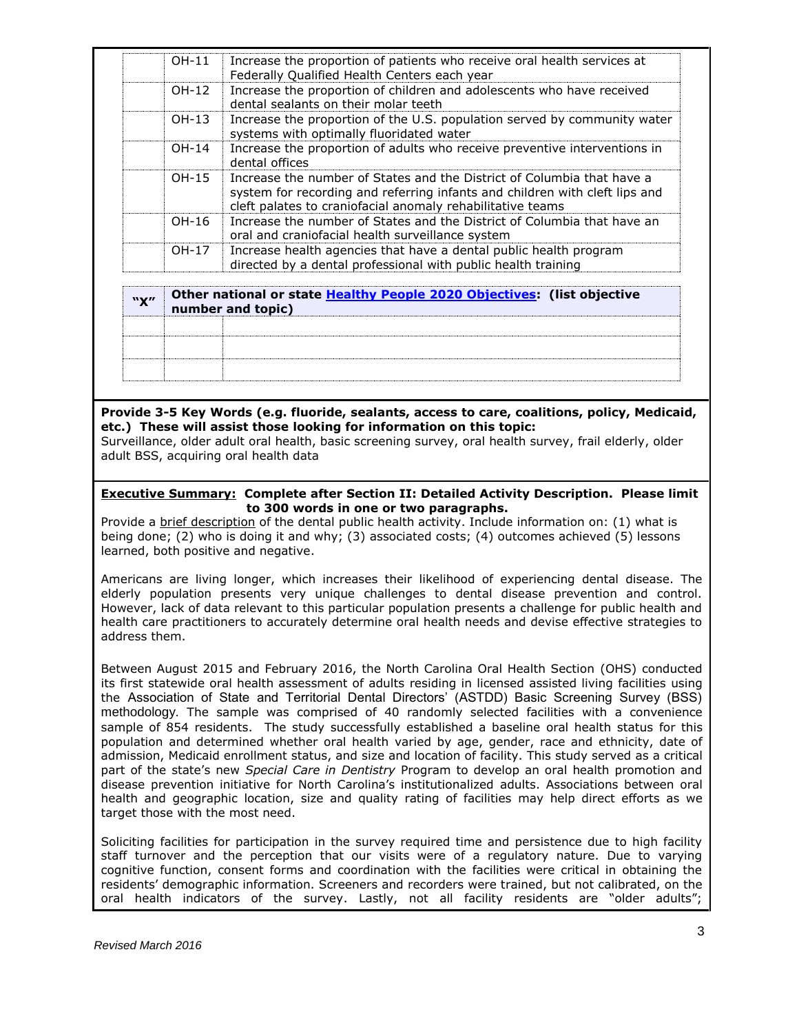| "Y" |       | Other national or state <b>Healthy People 2020 Objectives:</b> (list objective                                                                                                                                      |
|-----|-------|---------------------------------------------------------------------------------------------------------------------------------------------------------------------------------------------------------------------|
|     | OH-17 | Increase health agencies that have a dental public health program<br>directed by a dental professional with public health training                                                                                  |
|     | OH-16 | Increase the number of States and the District of Columbia that have an<br>oral and craniofacial health surveillance system                                                                                         |
|     | OH-15 | Increase the number of States and the District of Columbia that have a<br>system for recording and referring infants and children with cleft lips and<br>cleft palates to craniofacial anomaly rehabilitative teams |
|     | OH-14 | Increase the proportion of adults who receive preventive interventions in<br>dental offices                                                                                                                         |
|     | OH-13 | Increase the proportion of the U.S. population served by community water<br>systems with optimally fluoridated water                                                                                                |
|     | OH-12 | Increase the proportion of children and adolescents who have received<br>dental sealants on their molar teeth                                                                                                       |
|     | OH-11 | Increase the proportion of patients who receive oral health services at<br>Federally Qualified Health Centers each year                                                                                             |

| $\mathbf{w}$ | <u>Uther national or state Healthy People 2020 Objectives:</u> Thist objective<br>number and topic) |  |
|--------------|-----------------------------------------------------------------------------------------------------|--|
|              |                                                                                                     |  |
|              |                                                                                                     |  |
|              |                                                                                                     |  |
|              |                                                                                                     |  |

# **Provide 3-5 Key Words (e.g. fluoride, sealants, access to care, coalitions, policy, Medicaid, etc.) These will assist those looking for information on this topic:**

Surveillance, older adult oral health, basic screening survey, oral health survey, frail elderly, older adult BSS, acquiring oral health data

### **Executive Summary: Complete after Section II: Detailed Activity Description. Please limit to 300 words in one or two paragraphs.**

Provide a brief description of the dental public health activity. Include information on: (1) what is being done; (2) who is doing it and why; (3) associated costs; (4) outcomes achieved (5) lessons learned, both positive and negative.

Americans are living longer, which increases their likelihood of experiencing dental disease. The elderly population presents very unique challenges to dental disease prevention and control. However, lack of data relevant to this particular population presents a challenge for public health and health care practitioners to accurately determine oral health needs and devise effective strategies to address them.

Between August 2015 and February 2016, the North Carolina Oral Health Section (OHS) conducted its first statewide oral health assessment of adults residing in licensed assisted living facilities using the Association of State and Territorial Dental Directors' (ASTDD) Basic Screening Survey (BSS) methodology. The sample was comprised of 40 randomly selected facilities with a convenience sample of 854 residents. The study successfully established a baseline oral health status for this population and determined whether oral health varied by age, gender, race and ethnicity, date of admission, Medicaid enrollment status, and size and location of facility. This study served as a critical part of the state's new *Special Care in Dentistry* Program to develop an oral health promotion and disease prevention initiative for North Carolina's institutionalized adults. Associations between oral health and geographic location, size and quality rating of facilities may help direct efforts as we target those with the most need.

Soliciting facilities for participation in the survey required time and persistence due to high facility staff turnover and the perception that our visits were of a regulatory nature. Due to varying cognitive function, consent forms and coordination with the facilities were critical in obtaining the residents' demographic information. Screeners and recorders were trained, but not calibrated, on the oral health indicators of the survey. Lastly, not all facility residents are "older adults";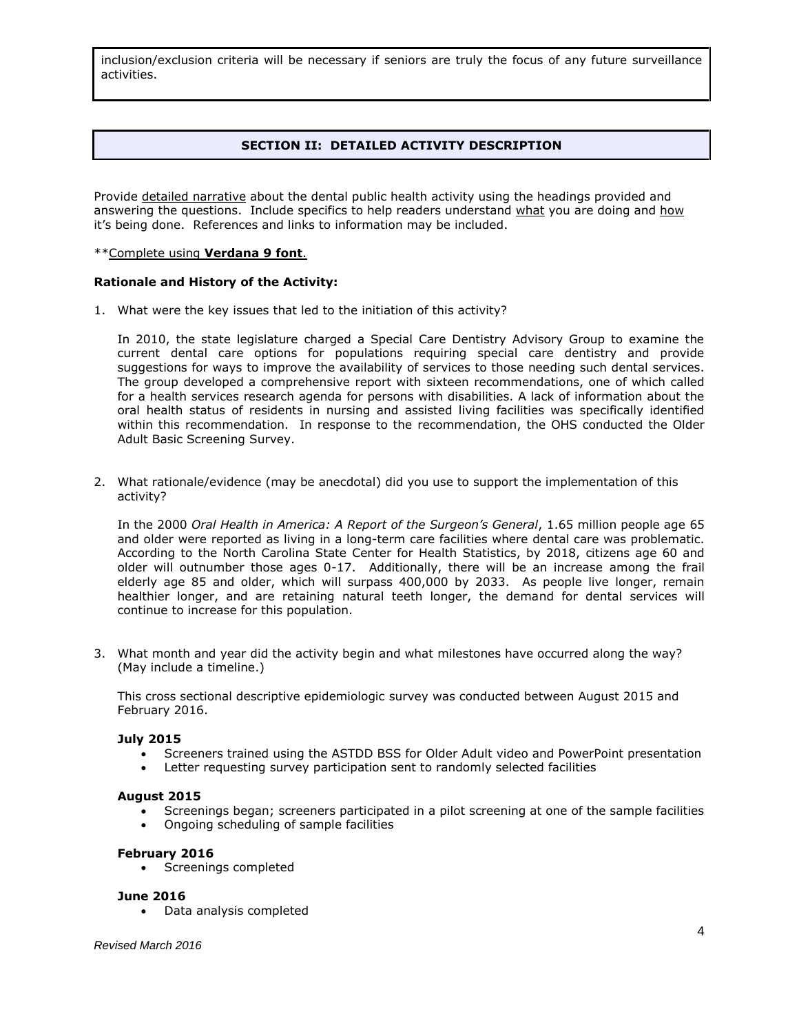inclusion/exclusion criteria will be necessary if seniors are truly the focus of any future surveillance activities.

# **SECTION II: DETAILED ACTIVITY DESCRIPTION**

Provide detailed narrative about the dental public health activity using the headings provided and answering the questions. Include specifics to help readers understand what you are doing and how it's being done. References and links to information may be included.

#### \*\*Complete using **Verdana 9 font**.

#### **Rationale and History of the Activity:**

1. What were the key issues that led to the initiation of this activity?

In 2010, the state legislature charged a Special Care Dentistry Advisory Group to examine the current dental care options for populations requiring special care dentistry and provide suggestions for ways to improve the availability of services to those needing such dental services. The group developed a comprehensive report with sixteen recommendations, one of which called for a health services research agenda for persons with disabilities. A lack of information about the oral health status of residents in nursing and assisted living facilities was specifically identified within this recommendation. In response to the recommendation, the OHS conducted the Older Adult Basic Screening Survey.

2. What rationale/evidence (may be anecdotal) did you use to support the implementation of this activity?

In the 2000 *Oral Health in America: A Report of the Surgeon's General*, 1.65 million people age 65 and older were reported as living in a long-term care facilities where dental care was problematic. According to the North Carolina State Center for Health Statistics, by 2018, citizens age 60 and older will outnumber those ages 0-17. Additionally, there will be an increase among the frail elderly age 85 and older, which will surpass 400,000 by 2033. As people live longer, remain healthier longer, and are retaining natural teeth longer, the demand for dental services will continue to increase for this population.

3. What month and year did the activity begin and what milestones have occurred along the way? (May include a timeline.)

This cross sectional descriptive epidemiologic survey was conducted between August 2015 and February 2016.

#### **July 2015**

- Screeners trained using the ASTDD BSS for Older Adult video and PowerPoint presentation
- Letter requesting survey participation sent to randomly selected facilities

#### **August 2015**

- Screenings began; screeners participated in a pilot screening at one of the sample facilities
- Ongoing scheduling of sample facilities

#### **February 2016**

• Screenings completed

#### **June 2016**

Data analysis completed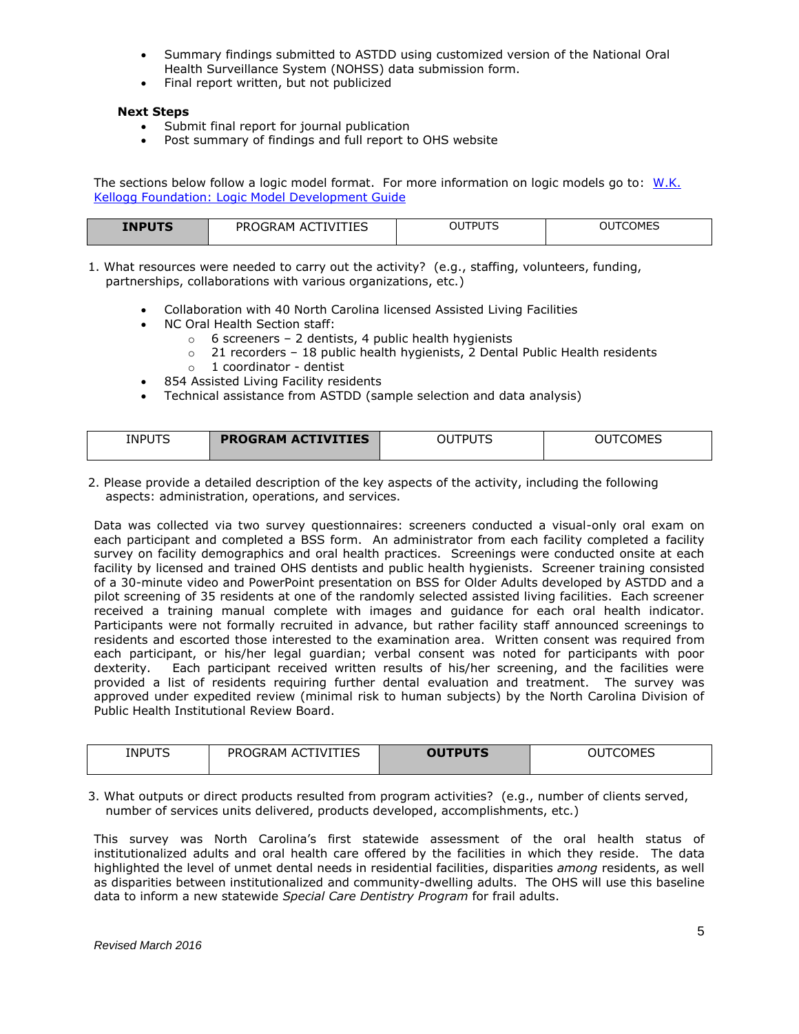- Summary findings submitted to ASTDD using customized version of the National Oral Health Surveillance System (NOHSS) data submission form.
- Final report written, but not publicized

### **Next Steps**

- Submit final report for journal publication
- Post summary of findings and full report to OHS website

The sections below follow a logic model format. For more information on logic models go to: W.K. [Kellogg Foundation: Logic Model Development Guide](http://www.exinfm.com/training/pdfiles/logicModel.pdf)

| <b>INPUTS</b> | PROGRAM ACT<br>TIVITIES | OUTPUTS | <b>OUTCOMES</b> |
|---------------|-------------------------|---------|-----------------|
|               |                         |         |                 |

1. What resources were needed to carry out the activity? (e.g., staffing, volunteers, funding, partnerships, collaborations with various organizations, etc.)

- Collaboration with 40 North Carolina licensed Assisted Living Facilities
- NC Oral Health Section staff:
	- $\circ$  6 screeners 2 dentists, 4 public health hygienists
		- o 21 recorders 18 public health hygienists, 2 Dental Public Health residents
	- o 1 coordinator dentist
	- 854 Assisted Living Facility residents
- Technical assistance from ASTDD (sample selection and data analysis)

| <b>INPUTS</b><br>$\sim$ | <b>ACTIVITIES</b><br><b>PROGRAM</b> | $- - -$<br>DI.<br>سد<br>$\sim$ | $\sim$ $\sim$<br><b>IMES</b><br>.<br>__ |
|-------------------------|-------------------------------------|--------------------------------|-----------------------------------------|
|                         |                                     |                                |                                         |

2. Please provide a detailed description of the key aspects of the activity, including the following aspects: administration, operations, and services.

Data was collected via two survey questionnaires: screeners conducted a visual-only oral exam on each participant and completed a BSS form. An administrator from each facility completed a facility survey on facility demographics and oral health practices. Screenings were conducted onsite at each facility by licensed and trained OHS dentists and public health hygienists. Screener training consisted of a 30-minute video and PowerPoint presentation on BSS for Older Adults developed by ASTDD and a pilot screening of 35 residents at one of the randomly selected assisted living facilities. Each screener received a training manual complete with images and guidance for each oral health indicator. Participants were not formally recruited in advance, but rather facility staff announced screenings to residents and escorted those interested to the examination area. Written consent was required from each participant, or his/her legal guardian; verbal consent was noted for participants with poor dexterity. Each participant received written results of his/her screening, and the facilities were provided a list of residents requiring further dental evaluation and treatment. The survey was approved under expedited review (minimal risk to human subjects) by the North Carolina Division of Public Health Institutional Review Board.

| <b>INPUTS</b> | <b>ACTIVITIES</b><br>PROGRAM | <b>OUTPUTS</b> | <b>COMES</b><br>UU |
|---------------|------------------------------|----------------|--------------------|
|               |                              |                |                    |

3. What outputs or direct products resulted from program activities? (e.g., number of clients served, number of services units delivered, products developed, accomplishments, etc.)

This survey was North Carolina's first statewide assessment of the oral health status of institutionalized adults and oral health care offered by the facilities in which they reside. The data highlighted the level of unmet dental needs in residential facilities, disparities *among* residents, as well as disparities between institutionalized and community-dwelling adults. The OHS will use this baseline data to inform a new statewide *Special Care Dentistry Program* for frail adults.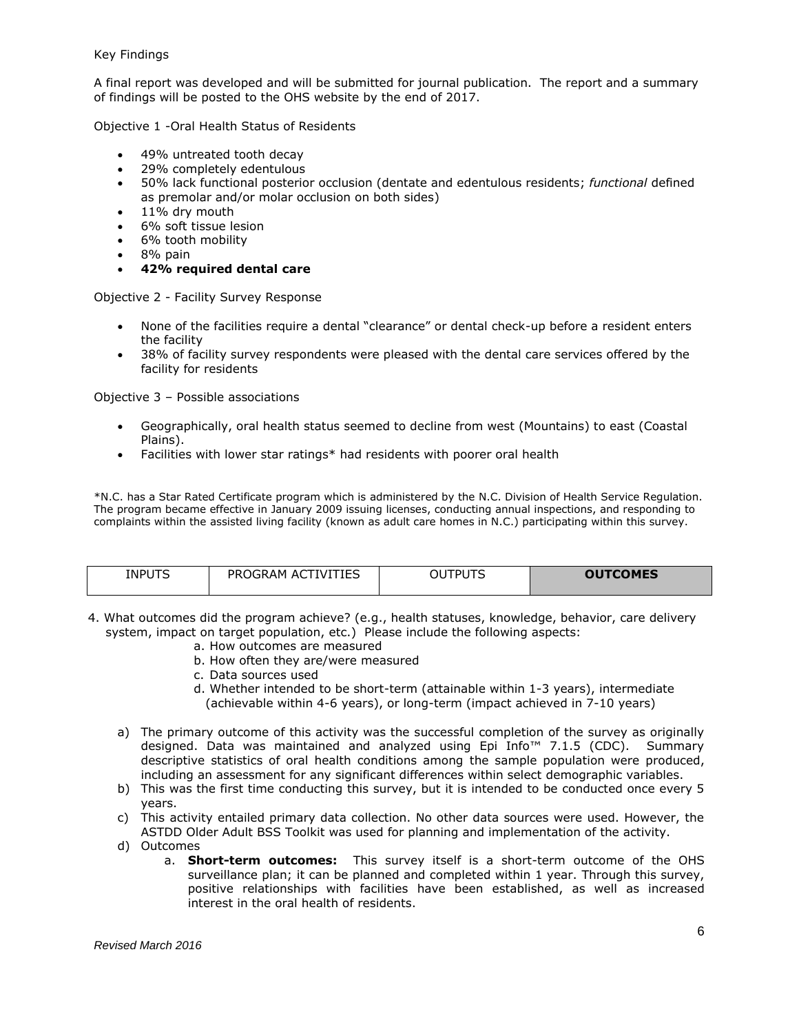A final report was developed and will be submitted for journal publication. The report and a summary of findings will be posted to the OHS website by the end of 2017.

Objective 1 -Oral Health Status of Residents

- 49% untreated tooth decay
- 29% completely edentulous
- 50% lack functional posterior occlusion (dentate and edentulous residents; *functional* defined as premolar and/or molar occlusion on both sides)
- 11% dry mouth
- 6% soft tissue lesion
- 6% tooth mobility
- 8% pain
- **42% required dental care**

Objective 2 - Facility Survey Response

- None of the facilities require a dental "clearance" or dental check-up before a resident enters the facility
- 38% of facility survey respondents were pleased with the dental care services offered by the facility for residents

Objective 3 – Possible associations

- Geographically, oral health status seemed to decline from west (Mountains) to east (Coastal Plains).
- Facilities with lower star ratings\* had residents with poorer oral health

\*N.C. has a Star Rated Certificate program which is administered by the N.C. Division of Health Service Regulation. The program became effective in January 2009 issuing licenses, conducting annual inspections, and responding to complaints within the assisted living facility (known as adult care homes in N.C.) participating within this survey.

| <b>INPUTS</b> | <b>ACTIVITIES</b><br><b>PROGRAM</b> | <b>OUTPUTS</b> | <b>OUTCOMES</b> |
|---------------|-------------------------------------|----------------|-----------------|

- 4. What outcomes did the program achieve? (e.g., health statuses, knowledge, behavior, care delivery system, impact on target population, etc.) Please include the following aspects:
	- a. How outcomes are measured
	- b. How often they are/were measured
	- c. Data sources used
	- d. Whether intended to be short-term (attainable within 1-3 years), intermediate (achievable within 4-6 years), or long-term (impact achieved in 7-10 years)
	- a) The primary outcome of this activity was the successful completion of the survey as originally designed. Data was maintained and analyzed using Epi Info™ 7.1.5 (CDC). Summary descriptive statistics of oral health conditions among the sample population were produced, including an assessment for any significant differences within select demographic variables.
	- b) This was the first time conducting this survey, but it is intended to be conducted once every 5 years.
	- c) This activity entailed primary data collection. No other data sources were used. However, the ASTDD Older Adult BSS Toolkit was used for planning and implementation of the activity.
	- d) Outcomes
		- a. **Short-term outcomes:** This survey itself is a short-term outcome of the OHS surveillance plan; it can be planned and completed within 1 year. Through this survey, positive relationships with facilities have been established, as well as increased interest in the oral health of residents.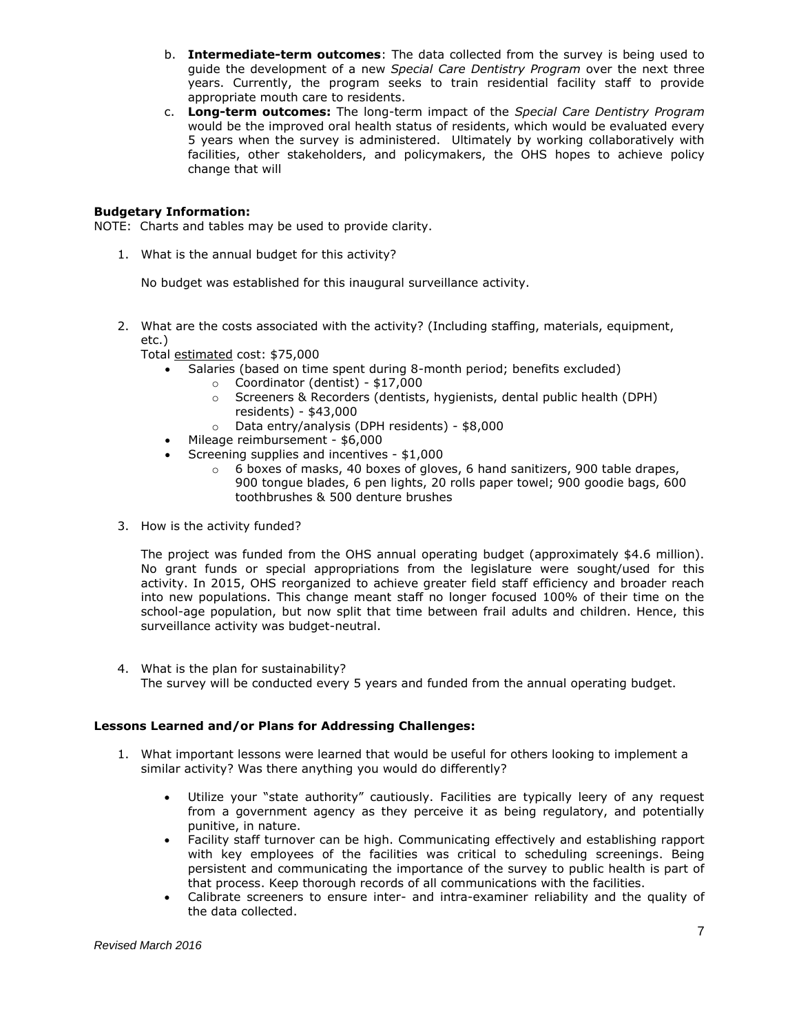- b. **Intermediate-term outcomes**: The data collected from the survey is being used to guide the development of a new *Special Care Dentistry Program* over the next three years. Currently, the program seeks to train residential facility staff to provide appropriate mouth care to residents.
- c. **Long-term outcomes:** The long-term impact of the *Special Care Dentistry Program* would be the improved oral health status of residents, which would be evaluated every 5 years when the survey is administered. Ultimately by working collaboratively with facilities, other stakeholders, and policymakers, the OHS hopes to achieve policy change that will

## **Budgetary Information:**

NOTE: Charts and tables may be used to provide clarity.

1. What is the annual budget for this activity?

No budget was established for this inaugural surveillance activity.

2. What are the costs associated with the activity? (Including staffing, materials, equipment, etc.)

Total estimated cost: \$75,000

- Salaries (based on time spent during 8-month period; benefits excluded)
	- o Coordinator (dentist) \$17,000
	- o Screeners & Recorders (dentists, hygienists, dental public health (DPH) residents) - \$43,000
	- o Data entry/analysis (DPH residents) \$8,000
- Mileage reimbursement \$6,000
- Screening supplies and incentives \$1,000
	- $\circ$  6 boxes of masks, 40 boxes of gloves, 6 hand sanitizers, 900 table drapes, 900 tongue blades, 6 pen lights, 20 rolls paper towel; 900 goodie bags, 600 toothbrushes & 500 denture brushes
- 3. How is the activity funded?

The project was funded from the OHS annual operating budget (approximately \$4.6 million). No grant funds or special appropriations from the legislature were sought/used for this activity. In 2015, OHS reorganized to achieve greater field staff efficiency and broader reach into new populations. This change meant staff no longer focused 100% of their time on the school-age population, but now split that time between frail adults and children. Hence, this surveillance activity was budget-neutral.

4. What is the plan for sustainability? The survey will be conducted every 5 years and funded from the annual operating budget.

### **Lessons Learned and/or Plans for Addressing Challenges:**

- 1. What important lessons were learned that would be useful for others looking to implement a similar activity? Was there anything you would do differently?
	- Utilize your "state authority" cautiously. Facilities are typically leery of any request from a government agency as they perceive it as being regulatory, and potentially punitive, in nature.
	- Facility staff turnover can be high. Communicating effectively and establishing rapport with key employees of the facilities was critical to scheduling screenings. Being persistent and communicating the importance of the survey to public health is part of that process. Keep thorough records of all communications with the facilities.
	- Calibrate screeners to ensure inter- and intra-examiner reliability and the quality of the data collected.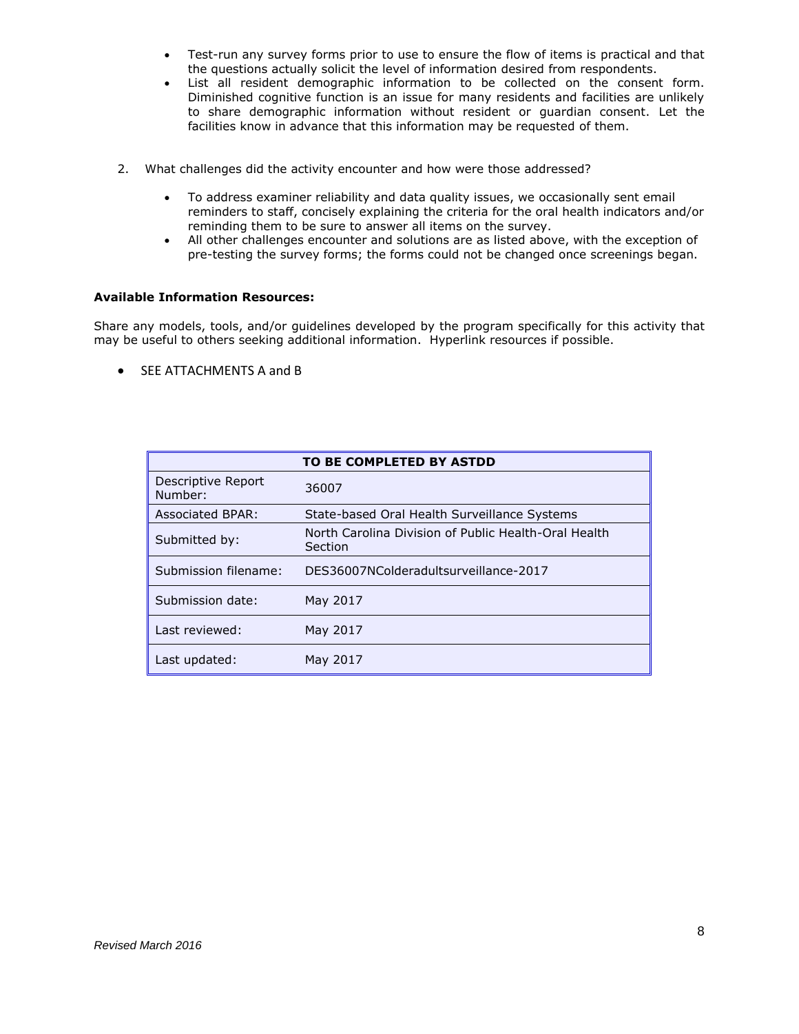- Test-run any survey forms prior to use to ensure the flow of items is practical and that the questions actually solicit the level of information desired from respondents.
- List all resident demographic information to be collected on the consent form. Diminished cognitive function is an issue for many residents and facilities are unlikely to share demographic information without resident or guardian consent. Let the facilities know in advance that this information may be requested of them.
- 2. What challenges did the activity encounter and how were those addressed?
	- To address examiner reliability and data quality issues, we occasionally sent email reminders to staff, concisely explaining the criteria for the oral health indicators and/or reminding them to be sure to answer all items on the survey.
	- All other challenges encounter and solutions are as listed above, with the exception of pre-testing the survey forms; the forms could not be changed once screenings began.

### **Available Information Resources:**

Share any models, tools, and/or guidelines developed by the program specifically for this activity that may be useful to others seeking additional information. Hyperlink resources if possible.

**SEE ATTACHMENTS A and B** 

|                               | TO BE COMPLETED BY ASTDD                                        |
|-------------------------------|-----------------------------------------------------------------|
| Descriptive Report<br>Number: | 36007                                                           |
| Associated BPAR:              | State-based Oral Health Surveillance Systems                    |
| Submitted by:                 | North Carolina Division of Public Health-Oral Health<br>Section |
| Submission filename:          | DES36007NColderadultsurveillance-2017                           |
| Submission date:              | May 2017                                                        |
| Last reviewed:                | May 2017                                                        |
| Last updated:                 | May 2017                                                        |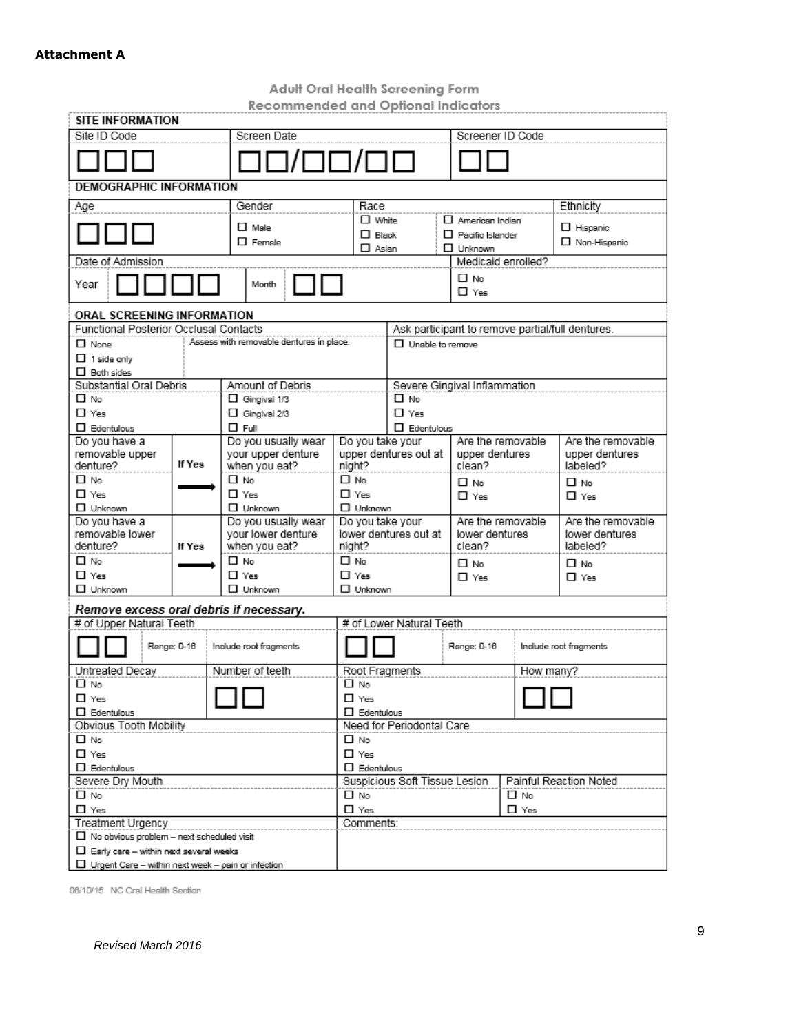# **Attachment A**

Adult Oral Health Screening Form<br>Recommended and Optional Indicators

| kecommenaea ana Optional Indicators<br>SITE INFORMATION   |                      |                                          |                                                         |                                    |                              |                    |                                                  |
|-----------------------------------------------------------|----------------------|------------------------------------------|---------------------------------------------------------|------------------------------------|------------------------------|--------------------|--------------------------------------------------|
| Site ID Code                                              |                      | Screen Date                              |                                                         |                                    |                              | Screener ID Code   |                                                  |
|                                                           |                      |                                          |                                                         |                                    |                              |                    |                                                  |
|                                                           |                      | 3/00/00                                  |                                                         |                                    |                              |                    |                                                  |
| <b>DEMOGRAPHIC INFORMATION</b>                            |                      |                                          |                                                         |                                    |                              |                    |                                                  |
| Age                                                       |                      | Gender                                   | Race                                                    |                                    |                              |                    | Ethnicity                                        |
|                                                           |                      | $\Box$ Male                              | $\Box$ White                                            |                                    | $\Pi$ American Indian        |                    | $\Box$ Hispanic                                  |
|                                                           |                      | $\Box$ Female                            | $\Box$ Black                                            |                                    | $\Box$ Pacific Islander      |                    | $\Box$ Non-Hispanic                              |
| Date of Admission                                         |                      |                                          | $\Box$ Asian                                            |                                    | $\Box$ Unknown               | Medicaid enrolled? |                                                  |
|                                                           |                      |                                          |                                                         |                                    | Π No                         |                    |                                                  |
| Year                                                      |                      | Month                                    |                                                         |                                    | $\Box$ Yes                   |                    |                                                  |
| ORAL SCREENING INFORMATION                                |                      |                                          |                                                         |                                    |                              |                    |                                                  |
| Functional Posterior Occlusal Contacts                    |                      |                                          |                                                         |                                    |                              |                    | Ask participant to remove partial/full dentures. |
| $\Box$ None                                               |                      | Assess with removable dentures in place. |                                                         | $\Box$ Unable to remove            |                              |                    |                                                  |
| $\Box$ 1 side only                                        |                      |                                          |                                                         |                                    |                              |                    |                                                  |
| $\Box$ Both sides                                         |                      |                                          |                                                         |                                    |                              |                    |                                                  |
| Substantial Oral Debris<br>□ No                           |                      | Amount of Debris                         |                                                         | □ No                               | Severe Gingival Inflammation |                    |                                                  |
| $\Box$ Yes                                                |                      | □ Gingival 1/3<br>$\Box$ Gingival 2/3    |                                                         | $\Box$ Yes                         |                              |                    |                                                  |
| $\square$ Edentulous                                      |                      | $\Box$ Full                              |                                                         | $\Box$ Edentulous                  |                              |                    |                                                  |
| Do you have a                                             |                      | Do you usually wear                      | Do you take your                                        |                                    |                              | Are the removable  | Are the removable                                |
| removable upper                                           |                      | your upper denture                       |                                                         | upper dentures out at              | upper dentures               |                    | upper dentures                                   |
| denture?                                                  | If Yes               | when you eat?                            | night?                                                  |                                    | clean?                       |                    | labeled?                                         |
| □ No                                                      |                      | Π No                                     | $\Box$ No                                               |                                    | □ No                         |                    | $\Box$ No                                        |
| $\Box$ Yes                                                |                      | $\Box$ Yes                               | $\Box$ Yes                                              |                                    | $\Pi$ Yes                    |                    | $\square$ Yes                                    |
| $\Box$ Unknown                                            |                      | $\Box$ Unknown                           | $\square$ Unknown                                       |                                    |                              |                    |                                                  |
| Do you have a                                             |                      | Do you usually wear                      | Do you take your                                        |                                    |                              | Are the removable  | Are the removable                                |
| removable lower<br>denture?                               | If Yes               | your lower denture<br>when you eat?      | night?                                                  | lower dentures out at              | lower dentures<br>clean?     |                    | lower dentures<br>labeled?                       |
| □ No                                                      |                      | Π No                                     | $\Box$ No                                               |                                    | □ No                         |                    | □ No                                             |
| $\Box$ Yes                                                |                      | $\Box$ Yes                               | $\Box$ Yes                                              |                                    | $\Box$ Yes                   |                    | $\square$ Yes                                    |
| $\Box$ Unknown                                            |                      | $\Box$ Unknown                           | $\Box$ Unknown                                          |                                    |                              |                    |                                                  |
| Remove excess oral debris if necessary.                   |                      |                                          |                                                         |                                    |                              |                    |                                                  |
| # of Upper Natural Teeth                                  |                      |                                          |                                                         | # of Lower Natural Teeth           |                              |                    |                                                  |
|                                                           |                      |                                          |                                                         |                                    |                              |                    |                                                  |
|                                                           | Range: 0-16          | Include root fragments                   |                                                         |                                    | Range: 0-16                  |                    | Include root fragments                           |
| Untreated Decay                                           |                      | Number of teeth                          | Root Fragments                                          |                                    |                              | How many?          |                                                  |
| □ No                                                      |                      |                                          | $\Box$ No                                               |                                    |                              |                    |                                                  |
| $\Box$ Yes                                                |                      |                                          | □ Yes                                                   |                                    |                              |                    |                                                  |
| $\Box$ Edentulous                                         |                      |                                          | $\Box$ Edentulous                                       |                                    |                              |                    |                                                  |
| Obvious Tooth Mobility                                    |                      |                                          | Need for Periodontal Care                               |                                    |                              |                    |                                                  |
| □ No                                                      |                      |                                          | □ No                                                    |                                    |                              |                    |                                                  |
| $\square$ Yes                                             | $\square$ Edentulous |                                          |                                                         | $\square$ Yes<br>$\Box$ Edentulous |                              |                    |                                                  |
| Severe Dry Mouth                                          |                      |                                          | Suspicious Soft Tissue Lesion<br>Painful Reaction Noted |                                    |                              |                    |                                                  |
| □ No                                                      |                      |                                          |                                                         | $\square$ No<br>Π No               |                              |                    |                                                  |
| $\square$ Yes                                             |                      |                                          | $\square$ Yes<br>□ Yes                                  |                                    |                              |                    |                                                  |
| Treatment Urgency                                         |                      |                                          | Comments:                                               |                                    |                              |                    |                                                  |
| $\Box$ No obvious problem - next scheduled visit          |                      |                                          |                                                         |                                    |                              |                    |                                                  |
| $\Box$ Early care - within next several weeks             |                      |                                          |                                                         |                                    |                              |                    |                                                  |
| $\Box$ Urgent Care - within next week - pain or infection |                      |                                          |                                                         |                                    |                              |                    |                                                  |

06/10/15 NC Oral Health Section